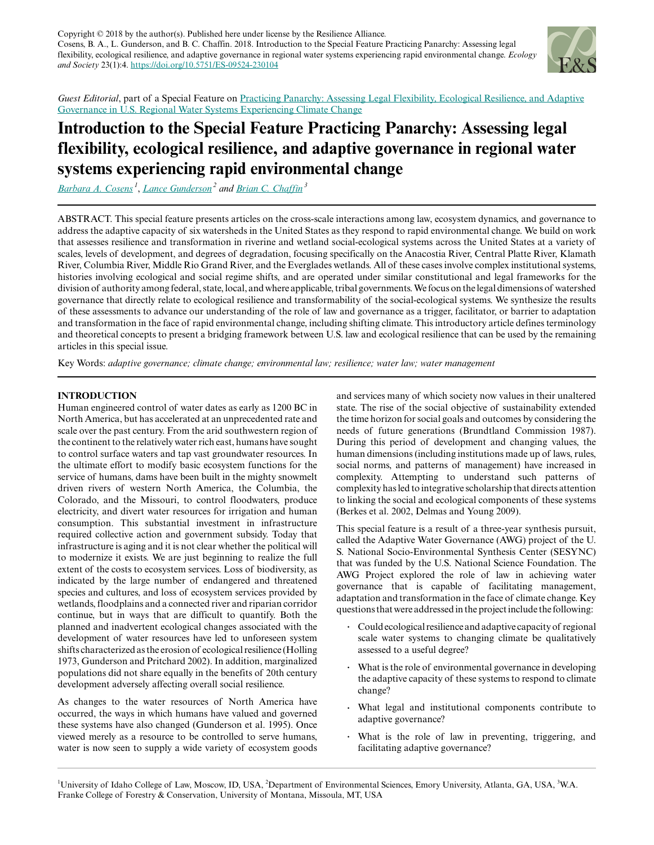Copyright  $\oslash$  2018 by the author(s). Published here under license by the Resilience Alliance. Cosens, B. A., L. Gunderson, and B. C. Chaffin. 2018. Introduction to the Special Feature Practicing Panarchy: Assessing legal flexibility, ecological resilience, and adaptive governance in regional water systems experiencing rapid environmental change. *Ecology and Society* 23(1):4.<https://doi.org/10.5751/ES-09524-230104>



*Guest Editorial*, part of a Special Feature on [Practicing Panarchy: Assessing Legal Flexibility, Ecological Resilience, and Adaptive](https://www.ecologyandsociety.org/viewissue.php?sf=122) [Governance in U.S. Regional Water Systems Experiencing Climate Change](https://www.ecologyandsociety.org/viewissue.php?sf=122)

# **Introduction to the Special Feature Practicing Panarchy: Assessing legal flexibility, ecological resilience, and adaptive governance in regional water systems experiencing rapid environmental change**

*[Barbara A. Cosens](mailto:bcosens@uidaho.edu)<sup>1</sup>* , *[Lance Gunderson](mailto:lgunder@emory.edu)<sup>2</sup> and [Brian C. Chaffin](mailto:brian.chaffin@umontana.edu)<sup>3</sup>*

ABSTRACT. This special feature presents articles on the cross-scale interactions among law, ecosystem dynamics, and governance to address the adaptive capacity of six watersheds in the United States as they respond to rapid environmental change. We build on work that assesses resilience and transformation in riverine and wetland social-ecological systems across the United States at a variety of scales, levels of development, and degrees of degradation, focusing specifically on the Anacostia River, Central Platte River, Klamath River, Columbia River, Middle Rio Grand River, and the Everglades wetlands. All of these cases involve complex institutional systems, histories involving ecological and social regime shifts, and are operated under similar constitutional and legal frameworks for the division of authority among federal, state, local, and where applicable, tribal governments. We focus on the legal dimensions of watershed governance that directly relate to ecological resilience and transformability of the social-ecological systems. We synthesize the results of these assessments to advance our understanding of the role of law and governance as a trigger, facilitator, or barrier to adaptation and transformation in the face of rapid environmental change, including shifting climate. This introductory article defines terminology and theoretical concepts to present a bridging framework between U.S. law and ecological resilience that can be used by the remaining articles in this special issue.

Key Words: *adaptive governance; climate change; environmental law; resilience; water law; water management*

## **INTRODUCTION**

Human engineered control of water dates as early as 1200 BC in North America, but has accelerated at an unprecedented rate and scale over the past century. From the arid southwestern region of the continent to the relatively water rich east, humans have sought to control surface waters and tap vast groundwater resources. In the ultimate effort to modify basic ecosystem functions for the service of humans, dams have been built in the mighty snowmelt driven rivers of western North America, the Columbia, the Colorado, and the Missouri, to control floodwaters, produce electricity, and divert water resources for irrigation and human consumption. This substantial investment in infrastructure required collective action and government subsidy. Today that infrastructure is aging and it is not clear whether the political will to modernize it exists. We are just beginning to realize the full extent of the costs to ecosystem services. Loss of biodiversity, as indicated by the large number of endangered and threatened species and cultures, and loss of ecosystem services provided by wetlands, floodplains and a connected river and riparian corridor continue, but in ways that are difficult to quantify. Both the planned and inadvertent ecological changes associated with the development of water resources have led to unforeseen system shifts characterized as the erosion of ecological resilience (Holling 1973, Gunderson and Pritchard 2002). In addition, marginalized populations did not share equally in the benefits of 20th century development adversely affecting overall social resilience.

As changes to the water resources of North America have occurred, the ways in which humans have valued and governed these systems have also changed (Gunderson et al. 1995). Once viewed merely as a resource to be controlled to serve humans, water is now seen to supply a wide variety of ecosystem goods and services many of which society now values in their unaltered state. The rise of the social objective of sustainability extended the time horizon for social goals and outcomes by considering the needs of future generations (Brundtland Commission 1987). During this period of development and changing values, the human dimensions (including institutions made up of laws, rules, social norms, and patterns of management) have increased in complexity. Attempting to understand such patterns of complexity has led to integrative scholarship that directs attention to linking the social and ecological components of these systems (Berkes et al. 2002, Delmas and Young 2009).

This special feature is a result of a three-year synthesis pursuit, called the Adaptive Water Governance (AWG) project of the U. S. National Socio-Environmental Synthesis Center (SESYNC) that was funded by the U.S. National Science Foundation. The AWG Project explored the role of law in achieving water governance that is capable of facilitating management, adaptation and transformation in the face of climate change. Key questions that were addressed in the project include the following:

- **.** Could ecological resilience and adaptive capacity of regional scale water systems to changing climate be qualitatively assessed to a useful degree?
- **.** What is the role of environmental governance in developing the adaptive capacity of these systems to respond to climate change?
- **.** What legal and institutional components contribute to adaptive governance?
- **.** What is the role of law in preventing, triggering, and facilitating adaptive governance?

<sup>&</sup>lt;sup>1</sup>University of Idaho College of Law, Moscow, ID, USA, <sup>2</sup>Department of Environmental Sciences, Emory University, Atlanta, GA, USA, <sup>3</sup>W.A. Franke College of Forestry & Conservation, University of Montana, Missoula, MT, USA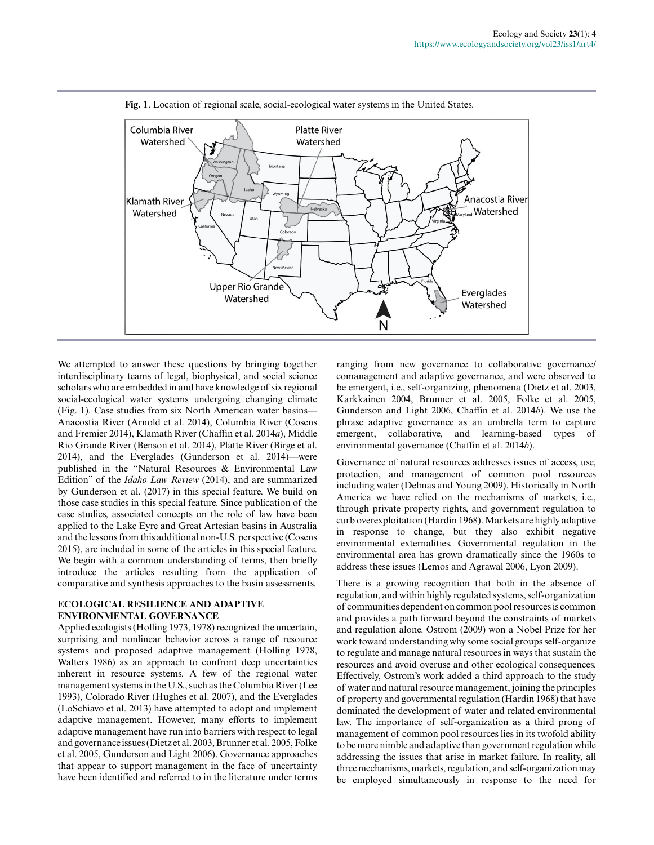

**Fig. 1**. Location of regional scale, social-ecological water systems in the United States.

We attempted to answer these questions by bringing together interdisciplinary teams of legal, biophysical, and social science scholars who are embedded in and have knowledge of six regional social-ecological water systems undergoing changing climate (Fig. 1). Case studies from six North American water basins— Anacostia River (Arnold et al. 2014), Columbia River (Cosens and Fremier 2014), Klamath River (Chaffin et al. 2014*a*), Middle Rio Grande River (Benson et al. 2014), Platte River (Birge et al. 2014), and the Everglades (Gunderson et al. 2014)—were published in the "Natural Resources & Environmental Law Edition" of the *Idaho Law Review* (2014), and are summarized by Gunderson et al. (2017) in this special feature. We build on those case studies in this special feature. Since publication of the case studies, associated concepts on the role of law have been applied to the Lake Eyre and Great Artesian basins in Australia and the lessons from this additional non-U.S. perspective (Cosens 2015), are included in some of the articles in this special feature. We begin with a common understanding of terms, then briefly introduce the articles resulting from the application of comparative and synthesis approaches to the basin assessments.

# **ECOLOGICAL RESILIENCE AND ADAPTIVE ENVIRONMENTAL GOVERNANCE**

Applied ecologists (Holling 1973, 1978) recognized the uncertain, surprising and nonlinear behavior across a range of resource systems and proposed adaptive management (Holling 1978, Walters 1986) as an approach to confront deep uncertainties inherent in resource systems. A few of the regional water management systems in the U.S., such as the Columbia River (Lee 1993), Colorado River (Hughes et al. 2007), and the Everglades (LoSchiavo et al. 2013) have attempted to adopt and implement adaptive management. However, many efforts to implement adaptive management have run into barriers with respect to legal and governance issues (Dietz et al. 2003, Brunner et al. 2005, Folke et al. 2005, Gunderson and Light 2006). Governance approaches that appear to support management in the face of uncertainty have been identified and referred to in the literature under terms

ranging from new governance to collaborative governance/ comanagement and adaptive governance, and were observed to be emergent, i.e., self-organizing, phenomena (Dietz et al. 2003, Karkkainen 2004, Brunner et al. 2005, Folke et al. 2005, Gunderson and Light 2006, Chaffin et al. 2014*b*). We use the phrase adaptive governance as an umbrella term to capture emergent, collaborative, and learning-based types of environmental governance (Chaffin et al. 2014*b*).

Governance of natural resources addresses issues of access, use, protection, and management of common pool resources including water (Delmas and Young 2009). Historically in North America we have relied on the mechanisms of markets, i.e., through private property rights, and government regulation to curb overexploitation (Hardin 1968). Markets are highly adaptive in response to change, but they also exhibit negative environmental externalities. Governmental regulation in the environmental area has grown dramatically since the 1960s to address these issues (Lemos and Agrawal 2006, Lyon 2009).

There is a growing recognition that both in the absence of regulation, and within highly regulated systems, self-organization of communities dependent on common pool resources is common and provides a path forward beyond the constraints of markets and regulation alone. Ostrom (2009) won a Nobel Prize for her work toward understanding why some social groups self-organize to regulate and manage natural resources in ways that sustain the resources and avoid overuse and other ecological consequences. Effectively, Ostrom's work added a third approach to the study of water and natural resource management, joining the principles of property and governmental regulation (Hardin 1968) that have dominated the development of water and related environmental law. The importance of self-organization as a third prong of management of common pool resources lies in its twofold ability to be more nimble and adaptive than government regulation while addressing the issues that arise in market failure. In reality, all three mechanisms, markets, regulation, and self-organization may be employed simultaneously in response to the need for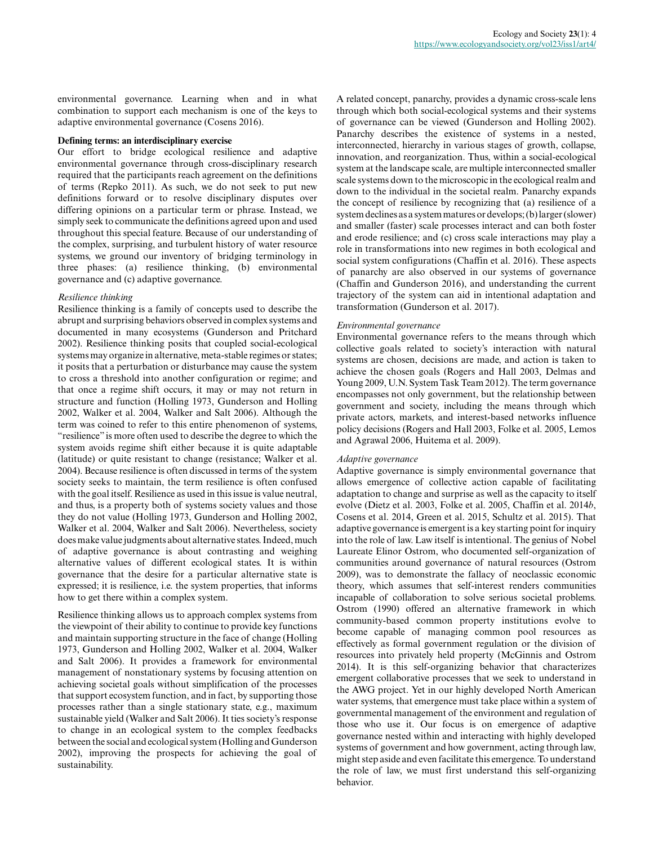environmental governance. Learning when and in what combination to support each mechanism is one of the keys to adaptive environmental governance (Cosens 2016).

## **Defining terms: an interdisciplinary exercise**

Our effort to bridge ecological resilience and adaptive environmental governance through cross-disciplinary research required that the participants reach agreement on the definitions of terms (Repko 2011). As such, we do not seek to put new definitions forward or to resolve disciplinary disputes over differing opinions on a particular term or phrase. Instead, we simply seek to communicate the definitions agreed upon and used throughout this special feature. Because of our understanding of the complex, surprising, and turbulent history of water resource systems, we ground our inventory of bridging terminology in three phases: (a) resilience thinking, (b) environmental governance and (c) adaptive governance.

#### *Resilience thinking*

Resilience thinking is a family of concepts used to describe the abrupt and surprising behaviors observed in complex systems and documented in many ecosystems (Gunderson and Pritchard 2002). Resilience thinking posits that coupled social-ecological systems may organize in alternative, meta-stable regimes or states; it posits that a perturbation or disturbance may cause the system to cross a threshold into another configuration or regime; and that once a regime shift occurs, it may or may not return in structure and function (Holling 1973, Gunderson and Holling 2002, Walker et al. 2004, Walker and Salt 2006). Although the term was coined to refer to this entire phenomenon of systems, "resilience" is more often used to describe the degree to which the system avoids regime shift either because it is quite adaptable (latitude) or quite resistant to change (resistance; Walker et al. 2004). Because resilience is often discussed in terms of the system society seeks to maintain, the term resilience is often confused with the goal itself. Resilience as used in this issue is value neutral, and thus, is a property both of systems society values and those they do not value (Holling 1973, Gunderson and Holling 2002, Walker et al. 2004, Walker and Salt 2006). Nevertheless, society does make value judgments about alternative states. Indeed, much of adaptive governance is about contrasting and weighing alternative values of different ecological states. It is within governance that the desire for a particular alternative state is expressed; it is resilience, i.e. the system properties, that informs how to get there within a complex system.

Resilience thinking allows us to approach complex systems from the viewpoint of their ability to continue to provide key functions and maintain supporting structure in the face of change (Holling 1973, Gunderson and Holling 2002, Walker et al. 2004, Walker and Salt 2006). It provides a framework for environmental management of nonstationary systems by focusing attention on achieving societal goals without simplification of the processes that support ecosystem function, and in fact, by supporting those processes rather than a single stationary state, e.g., maximum sustainable yield (Walker and Salt 2006). It ties society's response to change in an ecological system to the complex feedbacks between the social and ecological system (Holling and Gunderson 2002), improving the prospects for achieving the goal of sustainability.

A related concept, panarchy, provides a dynamic cross-scale lens through which both social-ecological systems and their systems of governance can be viewed (Gunderson and Holling 2002). Panarchy describes the existence of systems in a nested, interconnected, hierarchy in various stages of growth, collapse, innovation, and reorganization. Thus, within a social-ecological system at the landscape scale, are multiple interconnected smaller scale systems down to the microscopic in the ecological realm and down to the individual in the societal realm. Panarchy expands the concept of resilience by recognizing that (a) resilience of a system declines as a system matures or develops; (b) larger (slower) and smaller (faster) scale processes interact and can both foster and erode resilience; and (c) cross scale interactions may play a role in transformations into new regimes in both ecological and social system configurations (Chaffin et al. 2016). These aspects of panarchy are also observed in our systems of governance (Chaffin and Gunderson 2016), and understanding the current trajectory of the system can aid in intentional adaptation and transformation (Gunderson et al. 2017).

### *Environmental governance*

Environmental governance refers to the means through which collective goals related to society's interaction with natural systems are chosen, decisions are made, and action is taken to achieve the chosen goals (Rogers and Hall 2003, Delmas and Young 2009, U.N. System Task Team 2012). The term governance encompasses not only government, but the relationship between government and society, including the means through which private actors, markets, and interest-based networks influence policy decisions (Rogers and Hall 2003, Folke et al. 2005, Lemos and Agrawal 2006, Huitema et al. 2009).

### *Adaptive governance*

Adaptive governance is simply environmental governance that allows emergence of collective action capable of facilitating adaptation to change and surprise as well as the capacity to itself evolve (Dietz et al. 2003, Folke et al. 2005, Chaffin et al. 2014*b*, Cosens et al. 2014, Green et al. 2015, Schultz et al. 2015). That adaptive governance is emergent is a key starting point for inquiry into the role of law. Law itself is intentional. The genius of Nobel Laureate Elinor Ostrom, who documented self-organization of communities around governance of natural resources (Ostrom 2009), was to demonstrate the fallacy of neoclassic economic theory, which assumes that self-interest renders communities incapable of collaboration to solve serious societal problems. Ostrom (1990) offered an alternative framework in which community-based common property institutions evolve to become capable of managing common pool resources as effectively as formal government regulation or the division of resources into privately held property (McGinnis and Ostrom 2014). It is this self-organizing behavior that characterizes emergent collaborative processes that we seek to understand in the AWG project. Yet in our highly developed North American water systems, that emergence must take place within a system of governmental management of the environment and regulation of those who use it. Our focus is on emergence of adaptive governance nested within and interacting with highly developed systems of government and how government, acting through law, might step aside and even facilitate this emergence. To understand the role of law, we must first understand this self-organizing behavior.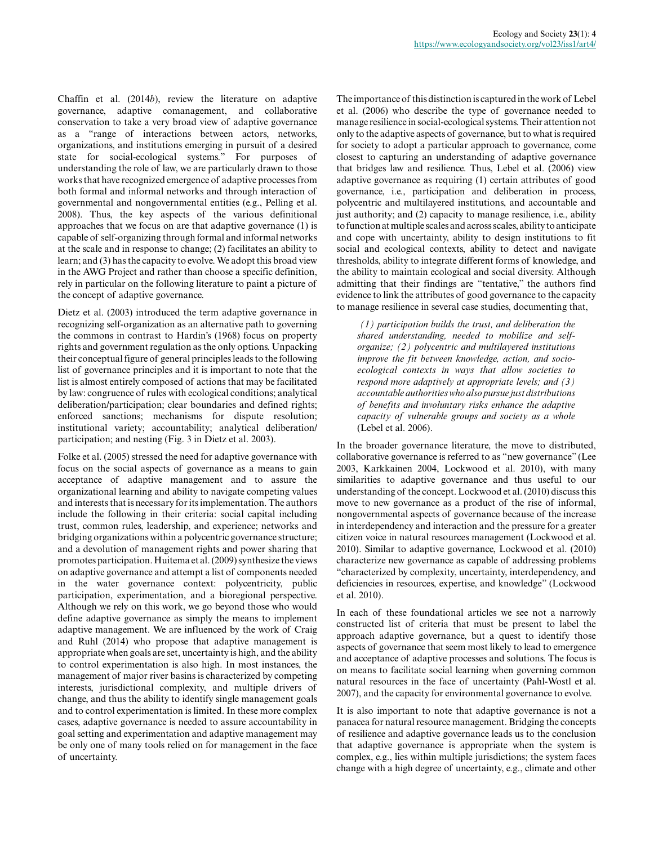Chaffin et al. (2014*b*), review the literature on adaptive governance, adaptive comanagement, and collaborative conservation to take a very broad view of adaptive governance as a "range of interactions between actors, networks, organizations, and institutions emerging in pursuit of a desired state for social-ecological systems." For purposes of understanding the role of law, we are particularly drawn to those works that have recognized emergence of adaptive processes from both formal and informal networks and through interaction of governmental and nongovernmental entities (e.g., Pelling et al. 2008). Thus, the key aspects of the various definitional approaches that we focus on are that adaptive governance (1) is capable of self-organizing through formal and informal networks at the scale and in response to change; (2) facilitates an ability to learn; and (3) has the capacity to evolve. We adopt this broad view in the AWG Project and rather than choose a specific definition, rely in particular on the following literature to paint a picture of the concept of adaptive governance.

Dietz et al. (2003) introduced the term adaptive governance in recognizing self-organization as an alternative path to governing the commons in contrast to Hardin's (1968) focus on property rights and government regulation as the only options. Unpacking their conceptual figure of general principles leads to the following list of governance principles and it is important to note that the list is almost entirely composed of actions that may be facilitated by law: congruence of rules with ecological conditions; analytical deliberation/participation; clear boundaries and defined rights; enforced sanctions; mechanisms for dispute resolution; institutional variety; accountability; analytical deliberation/ participation; and nesting (Fig. 3 in Dietz et al. 2003).

Folke et al. (2005) stressed the need for adaptive governance with focus on the social aspects of governance as a means to gain acceptance of adaptive management and to assure the organizational learning and ability to navigate competing values and interests that is necessary for its implementation. The authors include the following in their criteria: social capital including trust, common rules, leadership, and experience; networks and bridging organizations within a polycentric governance structure; and a devolution of management rights and power sharing that promotes participation. Huitema et al. (2009) synthesize the views on adaptive governance and attempt a list of components needed in the water governance context: polycentricity, public participation, experimentation, and a bioregional perspective. Although we rely on this work, we go beyond those who would define adaptive governance as simply the means to implement adaptive management. We are influenced by the work of Craig and Ruhl (2014) who propose that adaptive management is appropriate when goals are set, uncertainty is high, and the ability to control experimentation is also high. In most instances, the management of major river basins is characterized by competing interests, jurisdictional complexity, and multiple drivers of change, and thus the ability to identify single management goals and to control experimentation is limited. In these more complex cases, adaptive governance is needed to assure accountability in goal setting and experimentation and adaptive management may be only one of many tools relied on for management in the face of uncertainty.

The importance of this distinction is captured in the work of Lebel et al. (2006) who describe the type of governance needed to manage resilience in social-ecological systems. Their attention not only to the adaptive aspects of governance, but to what is required for society to adopt a particular approach to governance, come closest to capturing an understanding of adaptive governance that bridges law and resilience. Thus, Lebel et al. (2006) view adaptive governance as requiring (1) certain attributes of good governance, i.e., participation and deliberation in process, polycentric and multilayered institutions, and accountable and just authority; and (2) capacity to manage resilience, i.e., ability to function at multiple scales and across scales, ability to anticipate and cope with uncertainty, ability to design institutions to fit social and ecological contexts, ability to detect and navigate thresholds, ability to integrate different forms of knowledge, and the ability to maintain ecological and social diversity. Although admitting that their findings are "tentative," the authors find evidence to link the attributes of good governance to the capacity to manage resilience in several case studies, documenting that,

*(1) participation builds the trust, and deliberation the shared understanding, needed to mobilize and selforganize; (2) polycentric and multilayered institutions improve the fit between knowledge, action, and socioecological contexts in ways that allow societies to respond more adaptively at appropriate levels; and (3) accountable authorities who also pursue just distributions of benefits and involuntary risks enhance the adaptive capacity of vulnerable groups and society as a whole* (Lebel et al. 2006).

In the broader governance literature, the move to distributed, collaborative governance is referred to as "new governance" (Lee 2003, Karkkainen 2004, Lockwood et al. 2010), with many similarities to adaptive governance and thus useful to our understanding of the concept. Lockwood et al. (2010) discuss this move to new governance as a product of the rise of informal, nongovernmental aspects of governance because of the increase in interdependency and interaction and the pressure for a greater citizen voice in natural resources management (Lockwood et al. 2010). Similar to adaptive governance, Lockwood et al. (2010) characterize new governance as capable of addressing problems "characterized by complexity, uncertainty, interdependency, and deficiencies in resources, expertise, and knowledge" (Lockwood et al. 2010).

In each of these foundational articles we see not a narrowly constructed list of criteria that must be present to label the approach adaptive governance, but a quest to identify those aspects of governance that seem most likely to lead to emergence and acceptance of adaptive processes and solutions. The focus is on means to facilitate social learning when governing common natural resources in the face of uncertainty (Pahl-Wostl et al. 2007), and the capacity for environmental governance to evolve.

It is also important to note that adaptive governance is not a panacea for natural resource management. Bridging the concepts of resilience and adaptive governance leads us to the conclusion that adaptive governance is appropriate when the system is complex, e.g., lies within multiple jurisdictions; the system faces change with a high degree of uncertainty, e.g., climate and other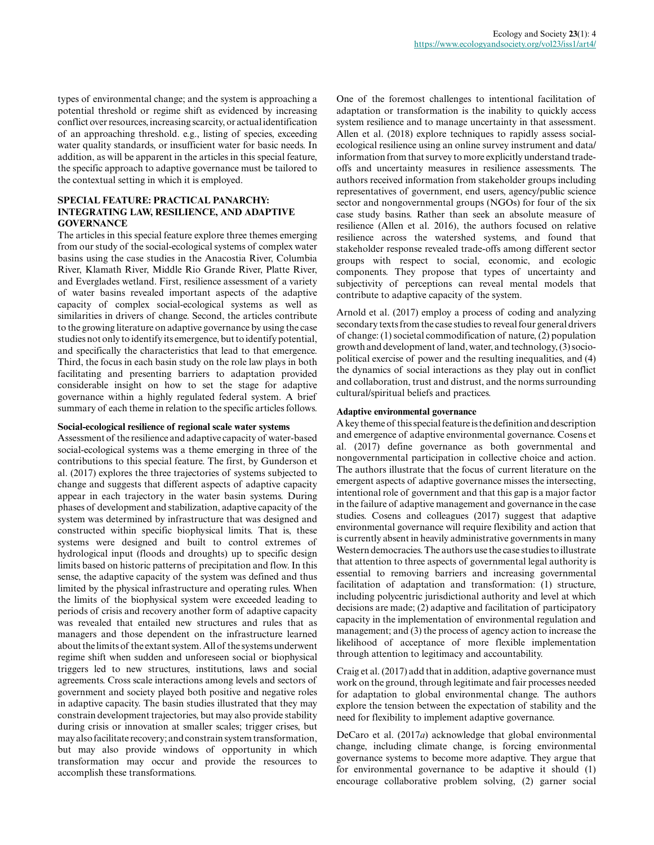types of environmental change; and the system is approaching a potential threshold or regime shift as evidenced by increasing conflict over resources, increasing scarcity, or actual identification of an approaching threshold. e.g., listing of species, exceeding water quality standards, or insufficient water for basic needs. In addition, as will be apparent in the articles in this special feature, the specific approach to adaptive governance must be tailored to the contextual setting in which it is employed.

## **SPECIAL FEATURE: PRACTICAL PANARCHY: INTEGRATING LAW, RESILIENCE, AND ADAPTIVE GOVERNANCE**

The articles in this special feature explore three themes emerging from our study of the social-ecological systems of complex water basins using the case studies in the Anacostia River, Columbia River, Klamath River, Middle Rio Grande River, Platte River, and Everglades wetland. First, resilience assessment of a variety of water basins revealed important aspects of the adaptive capacity of complex social-ecological systems as well as similarities in drivers of change. Second, the articles contribute to the growing literature on adaptive governance by using the case studies not only to identify its emergence, but to identify potential, and specifically the characteristics that lead to that emergence. Third, the focus in each basin study on the role law plays in both facilitating and presenting barriers to adaptation provided considerable insight on how to set the stage for adaptive governance within a highly regulated federal system. A brief summary of each theme in relation to the specific articles follows.

### **Social-ecological resilience of regional scale water systems**

Assessment of the resilience and adaptive capacity of water-based social-ecological systems was a theme emerging in three of the contributions to this special feature. The first, by Gunderson et al. (2017) explores the three trajectories of systems subjected to change and suggests that different aspects of adaptive capacity appear in each trajectory in the water basin systems. During phases of development and stabilization, adaptive capacity of the system was determined by infrastructure that was designed and constructed within specific biophysical limits. That is, these systems were designed and built to control extremes of hydrological input (floods and droughts) up to specific design limits based on historic patterns of precipitation and flow. In this sense, the adaptive capacity of the system was defined and thus limited by the physical infrastructure and operating rules. When the limits of the biophysical system were exceeded leading to periods of crisis and recovery another form of adaptive capacity was revealed that entailed new structures and rules that as managers and those dependent on the infrastructure learned about the limits of the extant system. All of the systems underwent regime shift when sudden and unforeseen social or biophysical triggers led to new structures, institutions, laws and social agreements. Cross scale interactions among levels and sectors of government and society played both positive and negative roles in adaptive capacity. The basin studies illustrated that they may constrain development trajectories, but may also provide stability during crisis or innovation at smaller scales; trigger crises, but may also facilitate recovery; and constrain system transformation, but may also provide windows of opportunity in which transformation may occur and provide the resources to accomplish these transformations.

One of the foremost challenges to intentional facilitation of adaptation or transformation is the inability to quickly access system resilience and to manage uncertainty in that assessment. Allen et al. (2018) explore techniques to rapidly assess socialecological resilience using an online survey instrument and data/ information from that survey to more explicitly understand tradeoffs and uncertainty measures in resilience assessments. The authors received information from stakeholder groups including representatives of government, end users, agency/public science sector and nongovernmental groups (NGOs) for four of the six case study basins. Rather than seek an absolute measure of resilience (Allen et al. 2016), the authors focused on relative resilience across the watershed systems, and found that stakeholder response revealed trade-offs among different sector groups with respect to social, economic, and ecologic components. They propose that types of uncertainty and subjectivity of perceptions can reveal mental models that contribute to adaptive capacity of the system.

Arnold et al. (2017) employ a process of coding and analyzing secondary texts from the case studies to reveal four general drivers of change: (1) societal commodification of nature, (2) population growth and development of land, water, and technology, (3) sociopolitical exercise of power and the resulting inequalities, and (4) the dynamics of social interactions as they play out in conflict and collaboration, trust and distrust, and the norms surrounding cultural/spiritual beliefs and practices.

## **Adaptive environmental governance**

A key theme of this special feature is the definition and description and emergence of adaptive environmental governance. Cosens et al. (2017) define governance as both governmental and nongovernmental participation in collective choice and action. The authors illustrate that the focus of current literature on the emergent aspects of adaptive governance misses the intersecting, intentional role of government and that this gap is a major factor in the failure of adaptive management and governance in the case studies. Cosens and colleagues (2017) suggest that adaptive environmental governance will require flexibility and action that is currently absent in heavily administrative governments in many Western democracies. The authors use the case studies to illustrate that attention to three aspects of governmental legal authority is essential to removing barriers and increasing governmental facilitation of adaptation and transformation: (1) structure, including polycentric jurisdictional authority and level at which decisions are made; (2) adaptive and facilitation of participatory capacity in the implementation of environmental regulation and management; and (3) the process of agency action to increase the likelihood of acceptance of more flexible implementation through attention to legitimacy and accountability.

Craig et al. (2017) add that in addition, adaptive governance must work on the ground, through legitimate and fair processes needed for adaptation to global environmental change. The authors explore the tension between the expectation of stability and the need for flexibility to implement adaptive governance.

DeCaro et al. (2017*a*) acknowledge that global environmental change, including climate change, is forcing environmental governance systems to become more adaptive. They argue that for environmental governance to be adaptive it should (1) encourage collaborative problem solving, (2) garner social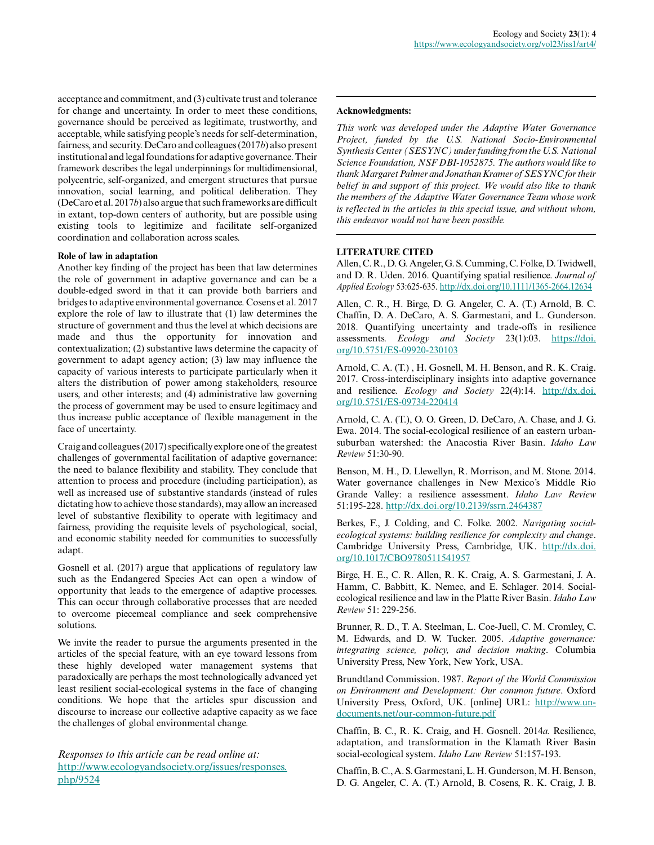acceptance and commitment, and (3) cultivate trust and tolerance for change and uncertainty. In order to meet these conditions, governance should be perceived as legitimate, trustworthy, and acceptable, while satisfying people's needs for self-determination, fairness, and security. DeCaro and colleagues (2017*b*) also present institutional and legal foundations for adaptive governance. Their framework describes the legal underpinnings for multidimensional, polycentric, self-organized, and emergent structures that pursue innovation, social learning, and political deliberation. They (DeCaro et al. 2017*b*) also argue that such frameworks are difficult in extant, top-down centers of authority, but are possible using existing tools to legitimize and facilitate self-organized coordination and collaboration across scales.

## **Role of law in adaptation**

Another key finding of the project has been that law determines the role of government in adaptive governance and can be a double-edged sword in that it can provide both barriers and bridges to adaptive environmental governance. Cosens et al. 2017 explore the role of law to illustrate that (1) law determines the structure of government and thus the level at which decisions are made and thus the opportunity for innovation and contextualization; (2) substantive laws determine the capacity of government to adapt agency action; (3) law may influence the capacity of various interests to participate particularly when it alters the distribution of power among stakeholders, resource users, and other interests; and (4) administrative law governing the process of government may be used to ensure legitimacy and thus increase public acceptance of flexible management in the face of uncertainty.

Craig and colleagues (2017) specifically explore one of the greatest challenges of governmental facilitation of adaptive governance: the need to balance flexibility and stability. They conclude that attention to process and procedure (including participation), as well as increased use of substantive standards (instead of rules dictating how to achieve those standards), may allow an increased level of substantive flexibility to operate with legitimacy and fairness, providing the requisite levels of psychological, social, and economic stability needed for communities to successfully adapt.

Gosnell et al. (2017) argue that applications of regulatory law such as the Endangered Species Act can open a window of opportunity that leads to the emergence of adaptive processes. This can occur through collaborative processes that are needed to overcome piecemeal compliance and seek comprehensive solutions.

We invite the reader to pursue the arguments presented in the articles of the special feature, with an eye toward lessons from these highly developed water management systems that paradoxically are perhaps the most technologically advanced yet least resilient social-ecological systems in the face of changing conditions. We hope that the articles spur discussion and discourse to increase our collective adaptive capacity as we face the challenges of global environmental change.

*Responses to this article can be read online at:* [http://www.ecologyandsociety.org/issues/responses.](http://www.ecologyandsociety.org/issues/responses.php/9524) [php/9524](http://www.ecologyandsociety.org/issues/responses.php/9524)

#### **Acknowledgments:**

*This work was developed under the Adaptive Water Governance Project, funded by the U.S. National Socio-Environmental Synthesis Center (SESYNC) under funding from the U.S. National Science Foundation, NSF DBI-1052875. The authors would like to thank Margaret Palmer and Jonathan Kramer of SESYNC for their belief in and support of this project. We would also like to thank the members of the Adaptive Water Governance Team whose work is reflected in the articles in this special issue, and without whom, this endeavor would not have been possible.*

### **LITERATURE CITED**

Allen, C. R., D. G. Angeler, G. S. Cumming, C. Folke, D. Twidwell, and D. R. Uden. 2016. Quantifying spatial resilience. *Journal of Applied Ecology* 53:625-635. [http://dx.doi.org/10.1111/1365-2664.12634](http://dx.doi.org/10.1111%2F1365-2664.12634)

Allen, C. R., H. Birge, D. G. Angeler, C. A. (T.) Arnold, B. C. Chaffin, D. A. DeCaro, A. S. Garmestani, and L. Gunderson. 2018. Quantifying uncertainty and trade-offs in resilience assessments. *Ecology and Society* 23(1):03. [https://doi.](https://doi.org/10.5751/ES-09920-230103) [org/10.5751/ES-09920-230103](https://doi.org/10.5751/ES-09920-230103) 

Arnold, C. A. (T.) , H. Gosnell, M. H. Benson, and R. K. Craig. 2017. Cross-interdisciplinary insights into adaptive governance and resilience. *Ecology and Society* 22(4):14. [http://dx.doi.](http://dx.doi.org/10.5751%2FES-09734-220414) [org/10.5751/ES-09734-220414](http://dx.doi.org/10.5751%2FES-09734-220414) 

Arnold, C. A. (T.), O. O. Green, D. DeCaro, A. Chase, and J. G. Ewa. 2014. The social-ecological resilience of an eastern urbansuburban watershed: the Anacostia River Basin. *Idaho Law Review* 51:30-90.

Benson, M. H., D. Llewellyn, R. Morrison, and M. Stone. 2014. Water governance challenges in New Mexico's Middle Rio Grande Valley: a resilience assessment. *Idaho Law Review* 51:195-228. [http://dx.doi.org/10.2139/ssrn.2464387](http://dx.doi.org/10.2139%2Fssrn.2464387) 

Berkes, F., J. Colding, and C. Folke. 2002. *Navigating socialecological systems: building resilience for complexity and change*. Cambridge University Press, Cambridge, UK. [http://dx.doi.](http://dx.doi.org/10.1017%2FCBO9780511541957) [org/10.1017/CBO9780511541957](http://dx.doi.org/10.1017%2FCBO9780511541957)

Birge, H. E., C. R. Allen, R. K. Craig, A. S. Garmestani, J. A. Hamm, C. Babbitt, K. Nemec, and E. Schlager. 2014. Socialecological resilience and law in the Platte River Basin. *Idaho Law Review* 51: 229-256.

Brunner, R. D., T. A. Steelman, L. Coe-Juell, C. M. Cromley, C. M. Edwards, and D. W. Tucker. 2005. *Adaptive governance: integrating science, policy, and decision making*. Columbia University Press, New York, New York, USA.

Brundtland Commission. 1987. *Report of the World Commission on Environment and Development: Our common future*. Oxford University Press, Oxford, UK. [online] URL: [http://www.un](http://www.un-documents.net/our-common-future.pdf)[documents.net/our-common-future.pdf](http://www.un-documents.net/our-common-future.pdf)

Chaffin, B. C., R. K. Craig, and H. Gosnell. 2014*a.* Resilience, adaptation, and transformation in the Klamath River Basin social-ecological system. *Idaho Law Review* 51:157-193.

Chaffin, B. C., A. S. Garmestani, L. H. Gunderson, M. H. Benson, D. G. Angeler, C. A. (T.) Arnold, B. Cosens, R. K. Craig, J. B.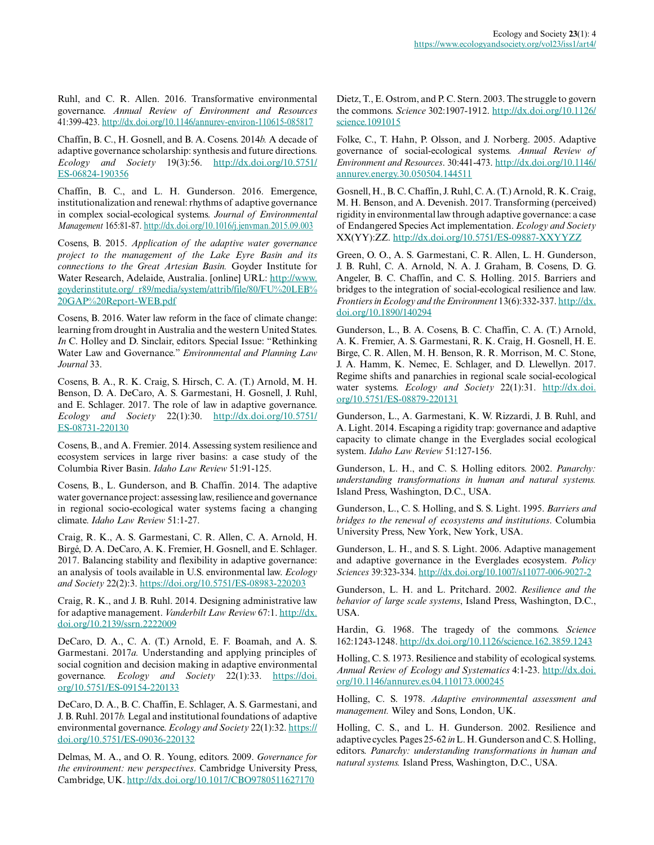Ruhl, and C. R. Allen. 2016. Transformative environmental governance. *Annual Review of Environment and Resources* 41:399-423. [http://dx.doi.org/10.1146/annurev-environ-110615-085817](http://dx.doi.org/10.1146%2Fannurev-environ-110615-085817) 

Chaffin, B. C., H. Gosnell, and B. A. Cosens. 2014*b.* A decade of adaptive governance scholarship: synthesis and future directions. *Ecology and Society* 19(3):56. [http://dx.doi.org/10.5751/](http://dx.doi.org/10.5751%2FES-06824-190356) [ES-06824-190356](http://dx.doi.org/10.5751%2FES-06824-190356)

Chaffin, B. C., and L. H. Gunderson. 2016. Emergence, institutionalization and renewal: rhythms of adaptive governance in complex social-ecological systems. *Journal of Environmental Management* 165:81-87. [http://dx.doi.org/10.1016/j.jenvman.2015.09.003](http://dx.doi.org/10.1016%2Fj.jenvman.2015.09.003)

Cosens, B. 2015. *Application of the adaptive water governance project to the management of the Lake Eyre Basin and its connections to the Great Artesian Basin.* Goyder Institute for Water Research, Adelaide, Australia. [online] URL: [http://www.](http://www.goyderinstitute.org/_r89/media/system/attrib/file/80/FU%20LEB%20GAP%20Report-WEB.pdf) [goyderinstitute.org/\\_r89/media/system/attrib/file/80/FU%20LEB%](http://www.goyderinstitute.org/_r89/media/system/attrib/file/80/FU%20LEB%20GAP%20Report-WEB.pdf) [20GAP%20Report-WEB.pdf](http://www.goyderinstitute.org/_r89/media/system/attrib/file/80/FU%20LEB%20GAP%20Report-WEB.pdf)

Cosens, B. 2016. Water law reform in the face of climate change: learning from drought in Australia and the western United States. *In* C. Holley and D. Sinclair, editors. Special Issue: "Rethinking Water Law and Governance." *Environmental and Planning Law Journal* 33.

Cosens, B. A., R. K. Craig, S. Hirsch, C. A. (T.) Arnold, M. H. Benson, D. A. DeCaro, A. S. Garmestani, H. Gosnell, J. Ruhl, and E. Schlager. 2017. The role of law in adaptive governance. *Ecology and Society* 22(1):30. [http://dx.doi.org/10.5751/](http://dx.doi.org/10.5751%2FES-08731-220130) [ES-08731-220130](http://dx.doi.org/10.5751%2FES-08731-220130)

Cosens, B., and A. Fremier. 2014. Assessing system resilience and ecosystem services in large river basins: a case study of the Columbia River Basin. *Idaho Law Review* 51:91-125.

Cosens, B., L. Gunderson, and B. Chaffin. 2014. The adaptive water governance project: assessing law, resilience and governance in regional socio-ecological water systems facing a changing climate. *Idaho Law Review* 51:1-27.

Craig, R. K., A. S. Garmestani, C. R. Allen, C. A. Arnold, H. Birgé, D. A. DeCaro, A. K. Fremier, H. Gosnell, and E. Schlager. 2017. Balancing stability and flexibility in adaptive governance: an analysis of tools available in U.S. environmental law. *Ecology and Society* 22(2):3. <https://doi.org/10.5751/ES-08983-220203>

Craig, R. K., and J. B. Ruhl. 2014. Designing administrative law for adaptive management. *Vanderbilt Law Review* 67:1. [http://dx.](http://dx.doi.org/10.2139%2Fssrn.2222009) [doi.org/10.2139/ssrn.2222009](http://dx.doi.org/10.2139%2Fssrn.2222009)

DeCaro, D. A., C. A. (T.) Arnold, E. F. Boamah, and A. S. Garmestani. 2017*a.* Understanding and applying principles of social cognition and decision making in adaptive environmental governance. *Ecology and Society* 22(1):33. [https://doi.](https://doi.org/10.5751/ES-09154-220133) [org/10.5751/ES-09154-220133](https://doi.org/10.5751/ES-09154-220133) 

DeCaro, D. A., B. C. Chaffin, E. Schlager, A. S. Garmestani, and J. B. Ruhl. 2017*b.* Legal and institutional foundations of adaptive environmental governance. *Ecology and Society* 22(1):32. [https://](https://doi.org/10.5751/ES-09036-220132) [doi.org/10.5751/ES-09036-220132](https://doi.org/10.5751/ES-09036-220132)

Delmas, M. A., and O. R. Young, editors. 2009. *Governance for the environment: new perspectives*. Cambridge University Press, Cambridge, UK. [http://dx.doi.org/10.1017/CBO9780511627170](http://dx.doi.org/10.1017%2FCBO9780511627170)

Dietz, T., E. Ostrom, and P. C. Stern. 2003. The struggle to govern the commons. *Science* 302:1907-1912. [http://dx.doi.org/10.1126/](http://dx.doi.org/10.1126%2Fscience.1091015) [science.1091015](http://dx.doi.org/10.1126%2Fscience.1091015)

Folke, C., T. Hahn, P. Olsson, and J. Norberg. 2005. Adaptive governance of social-ecological systems. *Annual Review of Environment and Resources*. 30:441-473. [http://dx.doi.org/10.1146/](http://dx.doi.org/10.1146%2Fannurev.energy.30.050504.144511) [annurev.energy.30.050504.144511](http://dx.doi.org/10.1146%2Fannurev.energy.30.050504.144511) 

Gosnell, H., B. C. Chaffin, J. Ruhl, C. A. (T.) Arnold, R. K. Craig, M. H. Benson, and A. Devenish. 2017. Transforming (perceived) rigidity in environmental law through adaptive governance: a case of Endangered Species Act implementation. *Ecology and Society* XX(YY):ZZ. [http://dx.doi.org/10.5751/ES-09887-XXYYZZ](http://dx.doi.org/10.5751%2FES-09887-XXYYZZ)

Green, O. O., A. S. Garmestani, C. R. Allen, L. H. Gunderson, J. B. Ruhl, C. A. Arnold, N. A. J. Graham, B. Cosens, D. G. Angeler, B. C. Chaffin, and C. S. Holling. 2015. Barriers and bridges to the integration of social-ecological resilience and law. *Frontiers in Ecology and the Environment* 13(6):332-337. [http://dx.](http://dx.doi.org/10.1890%2F140294) [doi.org/10.1890/140294](http://dx.doi.org/10.1890%2F140294)

Gunderson, L., B. A. Cosens, B. C. Chaffin, C. A. (T.) Arnold, A. K. Fremier, A. S. Garmestani, R. K. Craig, H. Gosnell, H. E. Birge, C. R. Allen, M. H. Benson, R. R. Morrison, M. C. Stone, J. A. Hamm, K. Nemec, E. Schlager, and D. Llewellyn. 2017. Regime shifts and panarchies in regional scale social-ecological water systems. *Ecology and Society* 22(1):31. [http://dx.doi.](http://dx.doi.org/10.5751%2FES-08879-220131) [org/10.5751/ES-08879-220131](http://dx.doi.org/10.5751%2FES-08879-220131) 

Gunderson, L., A. Garmestani, K. W. Rizzardi, J. B. Ruhl, and A. Light. 2014. Escaping a rigidity trap: governance and adaptive capacity to climate change in the Everglades social ecological system. *Idaho Law Review* 51:127-156.

Gunderson, L. H., and C. S. Holling editors. 2002. *Panarchy: understanding transformations in human and natural systems.* Island Press, Washington, D.C., USA.

Gunderson, L., C. S. Holling, and S. S. Light. 1995. *Barriers and bridges to the renewal of ecosystems and institutions*. Columbia University Press, New York, New York, USA.

Gunderson, L. H., and S. S. Light. 2006. Adaptive management and adaptive governance in the Everglades ecosystem. *Policy Sciences* 39:323-334. [http://dx.doi.org/10.1007/s11077-006-9027-2](http://dx.doi.org/10.1007%2Fs11077-006-9027-2) 

Gunderson, L. H. and L. Pritchard. 2002. *Resilience and the behavior of large scale systems*, Island Press, Washington, D.C., USA.

Hardin, G. 1968. The tragedy of the commons. *Science* 162:1243-1248. [http://dx.doi.org/10.1126/science.162.3859.1243](http://dx.doi.org/10.1126%2Fscience.162.3859.1243)

Holling, C. S. 1973. Resilience and stability of ecological systems. *Annual Review of Ecology and Systematics* 4:1-23. [http://dx.doi.](http://dx.doi.org/10.1146%2Fannurev.es.04.110173.000245) [org/10.1146/annurev.es.04.110173.000245](http://dx.doi.org/10.1146%2Fannurev.es.04.110173.000245) 

Holling, C. S. 1978. *Adaptive environmental assessment and management.* Wiley and Sons, London, UK.

Holling, C. S., and L. H. Gunderson. 2002. Resilience and adaptive cycles. Pages 25-62 *in* L. H. Gunderson and C. S. Holling, editors. *Panarchy: understanding transformations in human and natural systems.* Island Press, Washington, D.C., USA.